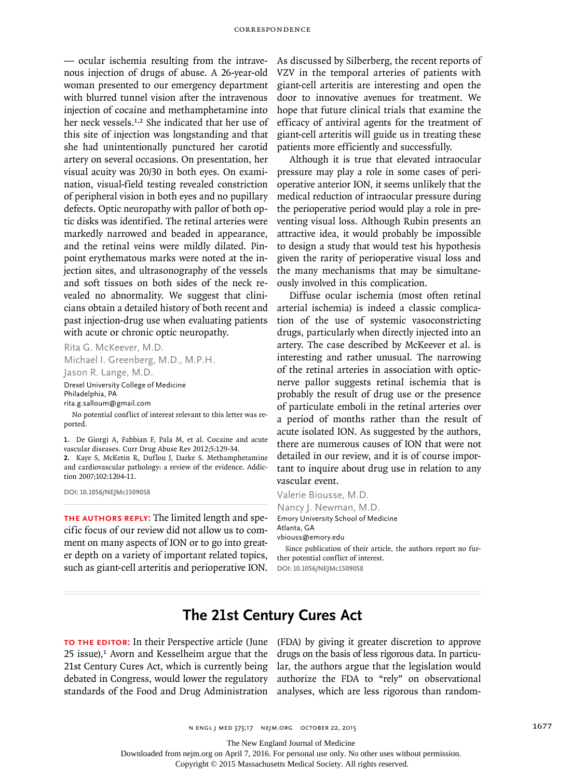— ocular ischemia resulting from the intravenous injection of drugs of abuse. A 26-year-old woman presented to our emergency department with blurred tunnel vision after the intravenous injection of cocaine and methamphetamine into her neck vessels.<sup>1,2</sup> She indicated that her use of this site of injection was longstanding and that she had unintentionally punctured her carotid artery on several occasions. On presentation, her visual acuity was 20/30 in both eyes. On examination, visual-field testing revealed constriction of peripheral vision in both eyes and no pupillary defects. Optic neuropathy with pallor of both optic disks was identified. The retinal arteries were markedly narrowed and beaded in appearance, and the retinal veins were mildly dilated. Pinpoint erythematous marks were noted at the injection sites, and ultrasonography of the vessels and soft tissues on both sides of the neck revealed no abnormality. We suggest that clinicians obtain a detailed history of both recent and past injection-drug use when evaluating patients with acute or chronic optic neuropathy.

Rita G. McKeever, M.D. Michael I. Greenberg, M.D., M.P.H. Jason R. Lange, M.D. Drexel University College of Medicine

Philadelphia, PA

rita.g.salloum@gmail.com

No potential conflict of interest relevant to this letter was reported.

**1.** De Giorgi A, Fabbian F, Pala M, et al. Cocaine and acute vascular diseases. Curr Drug Abuse Rev 2012;5:129-34. **2.** Kaye S, McKetin R, Duflou J, Darke S. Methamphetamine and cardiovascular pathology: a review of the evidence. Addiction 2007;102:1204-11.

**DOI: 10.1056/NEJMc1509058**

**The Authors Reply:** The limited length and specific focus of our review did not allow us to comment on many aspects of ION or to go into greater depth on a variety of important related topics, such as giant-cell arteritis and perioperative ION.

As discussed by Silberberg, the recent reports of VZV in the temporal arteries of patients with giant-cell arteritis are interesting and open the door to innovative avenues for treatment. We hope that future clinical trials that examine the efficacy of antiviral agents for the treatment of giant-cell arteritis will guide us in treating these patients more efficiently and successfully.

Although it is true that elevated intraocular pressure may play a role in some cases of perioperative anterior ION, it seems unlikely that the medical reduction of intraocular pressure during the perioperative period would play a role in preventing visual loss. Although Rubin presents an attractive idea, it would probably be impossible to design a study that would test his hypothesis given the rarity of perioperative visual loss and the many mechanisms that may be simultaneously involved in this complication.

Diffuse ocular ischemia (most often retinal arterial ischemia) is indeed a classic complication of the use of systemic vasoconstricting drugs, particularly when directly injected into an artery. The case described by McKeever et al. is interesting and rather unusual. The narrowing of the retinal arteries in association with opticnerve pallor suggests retinal ischemia that is probably the result of drug use or the presence of particulate emboli in the retinal arteries over a period of months rather than the result of acute isolated ION. As suggested by the authors, there are numerous causes of ION that were not detailed in our review, and it is of course important to inquire about drug use in relation to any vascular event.

Valerie Biousse, M.D. Nancy J. Newman, M.D. Emory University School of Medicine Atlanta, GA vbiouss@emory.edu

Since publication of their article, the authors report no further potential conflict of interest. **DOI: 10.1056/NEJMc1509058**

## **The 21st Century Cures Act**

**To the Editor:** In their Perspective article (June (FDA) by giving it greater discretion to approve  $25$  issue), $1$  Avorn and Kesselheim argue that the 21st Century Cures Act, which is currently being debated in Congress, would lower the regulatory standards of the Food and Drug Administration analyses, which are less rigorous than random-

drugs on the basis of less rigorous data. In particular, the authors argue that the legislation would authorize the FDA to "rely" on observational

The New England Journal of Medicine

Downloaded from nejm.org on April 7, 2016. For personal use only. No other uses without permission.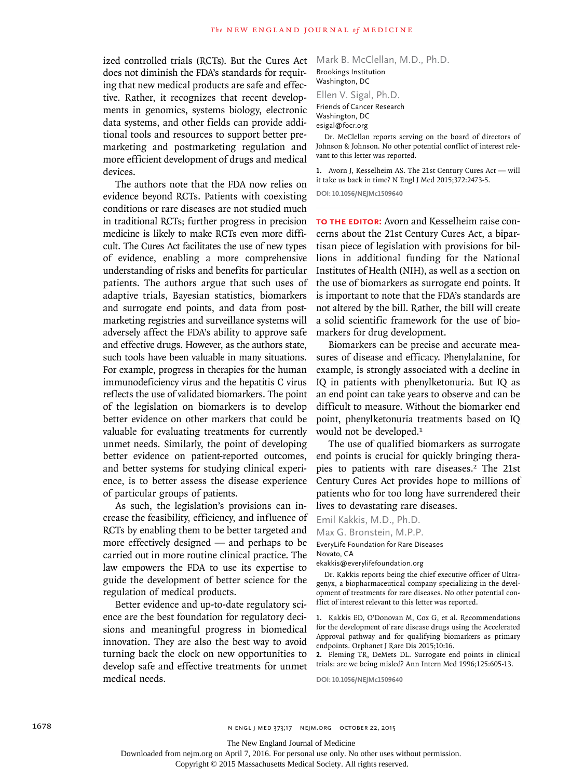ized controlled trials (RCTs). But the Cures Act does not diminish the FDA's standards for requiring that new medical products are safe and effective. Rather, it recognizes that recent developments in genomics, systems biology, electronic data systems, and other fields can provide additional tools and resources to support better premarketing and postmarketing regulation and more efficient development of drugs and medical devices.

The authors note that the FDA now relies on evidence beyond RCTs. Patients with coexisting conditions or rare diseases are not studied much in traditional RCTs; further progress in precision medicine is likely to make RCTs even more difficult. The Cures Act facilitates the use of new types of evidence, enabling a more comprehensive understanding of risks and benefits for particular patients. The authors argue that such uses of adaptive trials, Bayesian statistics, biomarkers and surrogate end points, and data from postmarketing registries and surveillance systems will adversely affect the FDA's ability to approve safe and effective drugs. However, as the authors state, such tools have been valuable in many situations. For example, progress in therapies for the human immunodeficiency virus and the hepatitis C virus reflects the use of validated biomarkers. The point of the legislation on biomarkers is to develop better evidence on other markers that could be valuable for evaluating treatments for currently unmet needs. Similarly, the point of developing better evidence on patient-reported outcomes, and better systems for studying clinical experience, is to better assess the disease experience of particular groups of patients.

As such, the legislation's provisions can increase the feasibility, efficiency, and influence of RCTs by enabling them to be better targeted and more effectively designed — and perhaps to be carried out in more routine clinical practice. The law empowers the FDA to use its expertise to guide the development of better science for the regulation of medical products.

Better evidence and up-to-date regulatory science are the best foundation for regulatory decisions and meaningful progress in biomedical innovation. They are also the best way to avoid turning back the clock on new opportunities to develop safe and effective treatments for unmet medical needs.

Mark B. McClellan, M.D., Ph.D. Brookings Institution Washington, DC

Ellen V. Sigal, Ph.D.

Friends of Cancer Research

Washington, DC esigal@focr.org

Dr. McClellan reports serving on the board of directors of Johnson & Johnson. No other potential conflict of interest relevant to this letter was reported.

**1.** Avorn J, Kesselheim AS. The 21st Century Cures Act — will it take us back in time? N Engl J Med 2015;372:2473-5.

**DOI: 10.1056/NEJMc1509640**

**To the Editor:** Avorn and Kesselheim raise concerns about the 21st Century Cures Act, a bipartisan piece of legislation with provisions for billions in additional funding for the National Institutes of Health (NIH), as well as a section on the use of biomarkers as surrogate end points. It is important to note that the FDA's standards are not altered by the bill. Rather, the bill will create a solid scientific framework for the use of biomarkers for drug development.

Biomarkers can be precise and accurate measures of disease and efficacy. Phenylalanine, for example, is strongly associated with a decline in IQ in patients with phenylketonuria. But IQ as an end point can take years to observe and can be difficult to measure. Without the biomarker end point, phenylketonuria treatments based on IQ would not be developed.<sup>1</sup>

The use of qualified biomarkers as surrogate end points is crucial for quickly bringing therapies to patients with rare diseases.2 The 21st Century Cures Act provides hope to millions of patients who for too long have surrendered their lives to devastating rare diseases.

Emil Kakkis, M.D., Ph.D.

Max G. Bronstein, M.P.P.

EveryLife Foundation for Rare Diseases

Novato, CA

ekakkis@everylifefoundation.org

Dr. Kakkis reports being the chief executive officer of Ultragenyx, a biopharmaceutical company specializing in the development of treatments for rare diseases. No other potential conflict of interest relevant to this letter was reported.

**1.** Kakkis ED, O'Donovan M, Cox G, et al. Recommendations for the development of rare disease drugs using the Accelerated Approval pathway and for qualifying biomarkers as primary endpoints. Orphanet J Rare Dis 2015;10:16.

**2.** Fleming TR, DeMets DL. Surrogate end points in clinical trials: are we being misled? Ann Intern Med 1996;125:605-13.

**DOI: 10.1056/NEJMc1509640**

Downloaded from nejm.org on April 7, 2016. For personal use only. No other uses without permission.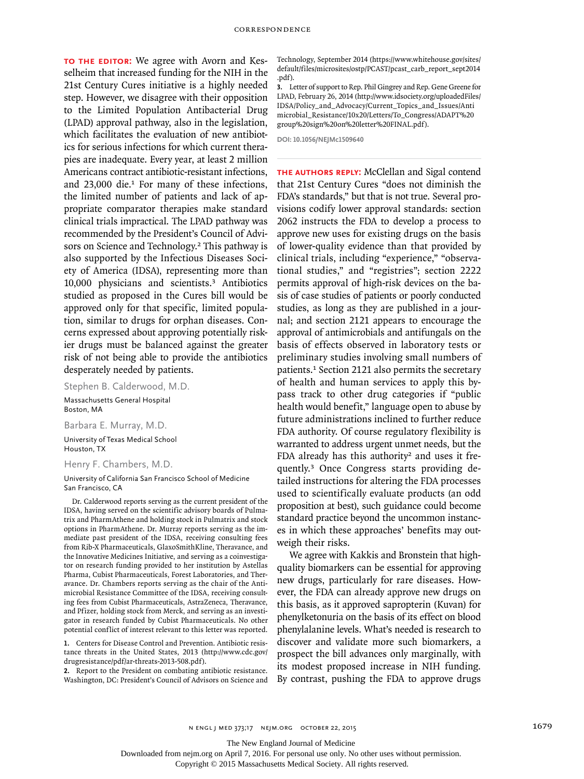**To the Editor:** We agree with Avorn and Kesselheim that increased funding for the NIH in the 21st Century Cures initiative is a highly needed step. However, we disagree with their opposition to the Limited Population Antibacterial Drug (LPAD) approval pathway, also in the legislation, which facilitates the evaluation of new antibiotics for serious infections for which current therapies are inadequate. Every year, at least 2 million Americans contract antibiotic-resistant infections, and 23,000 die.1 For many of these infections, the limited number of patients and lack of appropriate comparator therapies make standard clinical trials impractical. The LPAD pathway was recommended by the President's Council of Advisors on Science and Technology.<sup>2</sup> This pathway is also supported by the Infectious Diseases Society of America (IDSA), representing more than 10,000 physicians and scientists.3 Antibiotics studied as proposed in the Cures bill would be approved only for that specific, limited population, similar to drugs for orphan diseases. Concerns expressed about approving potentially riskier drugs must be balanced against the greater risk of not being able to provide the antibiotics desperately needed by patients.

Stephen B. Calderwood, M.D.

Massachusetts General Hospital Boston, MA

#### Barbara E. Murray, M.D.

University of Texas Medical School Houston, TX

### Henry F. Chambers, M.D.

University of California San Francisco School of Medicine San Francisco, CA

Dr. Calderwood reports serving as the current president of the IDSA, having served on the scientific advisory boards of Pulmatrix and PharmAthene and holding stock in Pulmatrix and stock options in PharmAthene. Dr. Murray reports serving as the immediate past president of the IDSA, receiving consulting fees from Rib-X Pharmaceuticals, GlaxoSmithKline, Theravance, and the Innovative Medicines Initiative, and serving as a coinvestigator on research funding provided to her institution by Astellas Pharma, Cubist Pharmaceuticals, Forest Laboratories, and Theravance. Dr. Chambers reports serving as the chair of the Antimicrobial Resistance Committee of the IDSA, receiving consulting fees from Cubist Pharmaceuticals, AstraZeneca, Theravance, and Pfizer, holding stock from Merck, and serving as an investigator in research funded by Cubist Pharmaceuticals. No other potential conflict of interest relevant to this letter was reported.

**1.** Centers for Disease Control and Prevention. Antibiotic resistance threats in the United States, 2013 (http://www.cdc.gov/ drugresistance/pdf/ar-threats-2013-508.pdf).

**2.** Report to the President on combating antibiotic resistance. Washington, DC: President's Council of Advisors on Science and Technology, September 2014 (https://www.whitehouse.gov/sites/ default/files/microsites/ostp/PCAST/pcast\_carb\_report\_sept2014 .pdf).

**3.** Letter of support to Rep. Phil Gingrey and Rep. Gene Greene for LPAD, February 26, 2014 (http://www.idsociety.org/uploadedFiles/ IDSA/Policy\_and\_Advocacy/Current\_Topics\_and\_Issues/Anti microbial\_Resistance/10x20/Letters/To\_Congress/ADAPT%20 group%20sign%20on%20letter%20FINAL.pdf).

**DOI: 10.1056/NEJMc1509640**

**The Authors Reply:** McClellan and Sigal contend that 21st Century Cures "does not diminish the FDA's standards," but that is not true. Several provisions codify lower approval standards: section 2062 instructs the FDA to develop a process to approve new uses for existing drugs on the basis of lower-quality evidence than that provided by clinical trials, including "experience," "observational studies," and "registries"; section 2222 permits approval of high-risk devices on the basis of case studies of patients or poorly conducted studies, as long as they are published in a journal; and section 2121 appears to encourage the approval of antimicrobials and antifungals on the basis of effects observed in laboratory tests or preliminary studies involving small numbers of patients.<sup>1</sup> Section 2121 also permits the secretary of health and human services to apply this bypass track to other drug categories if "public health would benefit," language open to abuse by future administrations inclined to further reduce FDA authority. Of course regulatory flexibility is warranted to address urgent unmet needs, but the FDA already has this authority<sup>2</sup> and uses it frequently.3 Once Congress starts providing detailed instructions for altering the FDA processes used to scientifically evaluate products (an odd proposition at best), such guidance could become standard practice beyond the uncommon instances in which these approaches' benefits may outweigh their risks.

We agree with Kakkis and Bronstein that highquality biomarkers can be essential for approving new drugs, particularly for rare diseases. However, the FDA can already approve new drugs on this basis, as it approved sapropterin (Kuvan) for phenylketonuria on the basis of its effect on blood phenylalanine levels. What's needed is research to discover and validate more such biomarkers, a prospect the bill advances only marginally, with its modest proposed increase in NIH funding. By contrast, pushing the FDA to approve drugs

n engl j med 373;17 nejm.org october 22, 2015 1679

The New England Journal of Medicine

Downloaded from nejm.org on April 7, 2016. For personal use only. No other uses without permission.